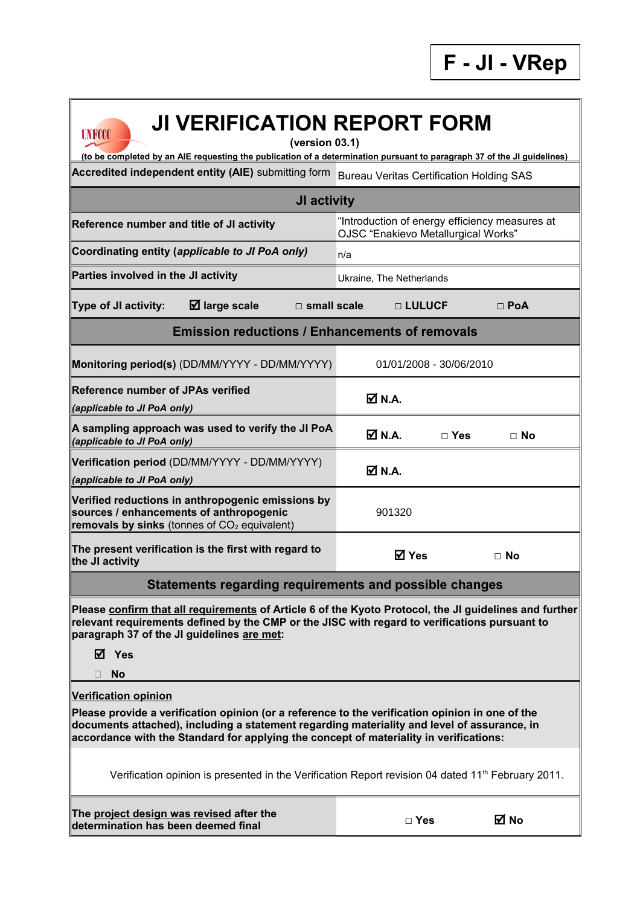

## **UNFCCC**

## **JI VERIFICATION REPORT FORM**

**(version 03.1)**

**Accredited independent entity (AIE)** submitting form Bureau Veritas Certification Holding SAS **(to be completed by an AIE requesting the publication of a determination pursuant to paragraph 37 of the JI guidelines)**

| JI activity                                                                                                                                                                                                                                                                                                             |                                                                                       |                         |            |  |  |  |  |  |
|-------------------------------------------------------------------------------------------------------------------------------------------------------------------------------------------------------------------------------------------------------------------------------------------------------------------------|---------------------------------------------------------------------------------------|-------------------------|------------|--|--|--|--|--|
| Reference number and title of JI activity                                                                                                                                                                                                                                                                               | "Introduction of energy efficiency measures at<br>OJSC "Enakievo Metallurgical Works" |                         |            |  |  |  |  |  |
| Coordinating entity (applicable to JI PoA only)                                                                                                                                                                                                                                                                         | n/a                                                                                   |                         |            |  |  |  |  |  |
| Parties involved in the JI activity                                                                                                                                                                                                                                                                                     | Ukraine, The Netherlands                                                              |                         |            |  |  |  |  |  |
| $\boxtimes$ large scale<br>Type of JI activity:<br>$\Box$ small scale                                                                                                                                                                                                                                                   |                                                                                       | □ LULUCF                | $\Box$ PoA |  |  |  |  |  |
| <b>Emission reductions / Enhancements of removals</b>                                                                                                                                                                                                                                                                   |                                                                                       |                         |            |  |  |  |  |  |
| Monitoring period(s) (DD/MM/YYYY - DD/MM/YYYY)                                                                                                                                                                                                                                                                          |                                                                                       | 01/01/2008 - 30/06/2010 |            |  |  |  |  |  |
| <b>Reference number of JPAs verified</b><br>(applicable to JI PoA only)                                                                                                                                                                                                                                                 | $\overline{\mathsf{M}}$ N.A.                                                          |                         |            |  |  |  |  |  |
| A sampling approach was used to verify the JI PoA<br>(applicable to JI PoA only)                                                                                                                                                                                                                                        | $\boxtimes$ N.A.                                                                      | $\Box$ Yes              | $\Box$ No  |  |  |  |  |  |
| Verification period (DD/MM/YYYY - DD/MM/YYYY)<br>(applicable to JI PoA only)                                                                                                                                                                                                                                            | <b>Ø</b> N.A.                                                                         |                         |            |  |  |  |  |  |
| Verified reductions in anthropogenic emissions by<br>sources / enhancements of anthropogenic<br>removals by sinks (tonnes of $CO2$ equivalent)                                                                                                                                                                          | 901320                                                                                |                         |            |  |  |  |  |  |
| The present verification is the first with regard to<br>the JI activity                                                                                                                                                                                                                                                 |                                                                                       | <b>⊠</b> Yes            | $\Box$ No  |  |  |  |  |  |
| Statements regarding requirements and possible changes                                                                                                                                                                                                                                                                  |                                                                                       |                         |            |  |  |  |  |  |
| Please confirm that all requirements of Article 6 of the Kyoto Protocol, the JI guidelines and further<br>relevant requirements defined by the CMP or the JISC with regard to verifications pursuant to<br>paragraph 37 of the JI guidelines are met:<br>$\boxtimes$ Yes                                                |                                                                                       |                         |            |  |  |  |  |  |
| $\Box$ No                                                                                                                                                                                                                                                                                                               |                                                                                       |                         |            |  |  |  |  |  |
| <b>Verification opinion</b><br>Please provide a verification opinion (or a reference to the verification opinion in one of the<br>documents attached), including a statement regarding materiality and level of assurance, in<br>accordance with the Standard for applying the concept of materiality in verifications: |                                                                                       |                         |            |  |  |  |  |  |
| Verification opinion is presented in the Verification Report revision 04 dated $11th$ February 2011.                                                                                                                                                                                                                    |                                                                                       |                         |            |  |  |  |  |  |
| The project design was revised after the<br>determination has been deemed final                                                                                                                                                                                                                                         |                                                                                       | $\Box$ Yes              | ⊠ No       |  |  |  |  |  |